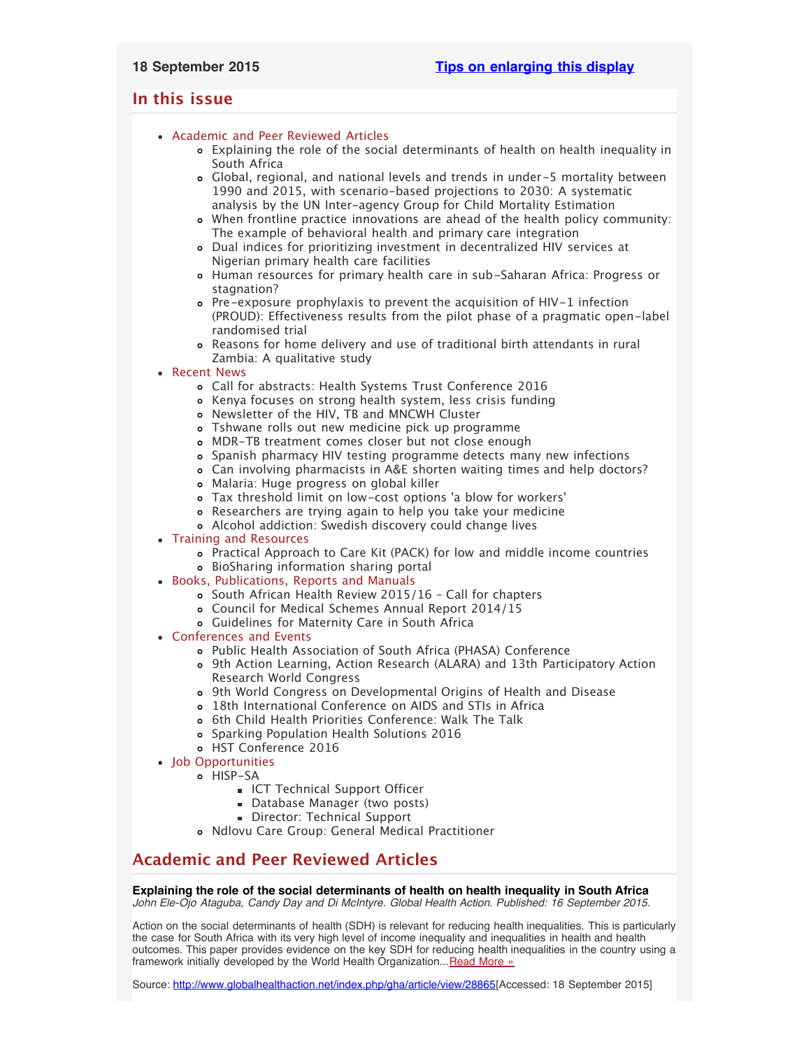## <span id="page-0-3"></span><span id="page-0-2"></span>**In this issue**

## [Academic and Peer Reviewed Articles](#page-0-0)

- [Explaining the role of the social determinants of health on health inequality in](#page-0-1) [South Africa](#page-0-1)
- [Global, regional, and national levels and trends in under-5 mortality between](#page-1-0) [1990 and 2015, with scenario-based projections to 2030: A systematic](#page-1-0) [analysis by the UN Inter-agency Group for Child Mortality Estimation](#page-1-0)
- [When frontline practice innovations are ahead of the health policy community:](#page-1-1) [The example of behavioral health and primary care integration](#page-1-1)
- [Dual indices for prioritizing investment in decentralized HIV services at](#page-1-2) [Nigerian primary health care facilities](#page-1-2)
- o [Human resources for primary health care in sub-Saharan Africa: Progress or](#page-1-3) [stagnation?](#page-1-3)
- [Pre-exposure prophylaxis to prevent the acquisition of HIV-1 infection](#page-1-4) [\(PROUD\): Effectiveness results from the pilot phase of a pragmatic open-label](#page-1-4) [randomised trial](#page-1-4)
- [Reasons for home delivery and use of traditional birth attendants in rural](#page-1-5) [Zambia: A qualitative study](#page-1-5)
- [Recent News](#page-2-0)
	- [Call for abstracts: Health Systems Trust Conference 2016](#page-2-1)
	- [Kenya focuses on strong health system, less crisis funding](#page-2-2)
	- [Newsletter of the HIV, TB and MNCWH Cluster](#page-2-3)
	- [Tshwane rolls out new medicine pick up programme](#page-2-4)
	- [MDR-TB treatment comes closer but not close enough](#page-2-5)
	- [Spanish pharmacy HIV testing programme detects many new infections](#page-2-6)
	- [Can involving pharmacists in A&E shorten waiting times and help doctors?](#page-2-7)
	- [Malaria: Huge progress on global killer](#page-3-0)
	- [Tax threshold limit on low-cost options](#page-3-1) 'a blow for workers'
	- [Researchers are trying again to help you take your medicine](#page-3-2)
	- [Alcohol addiction: Swedish discovery could change lives](#page-3-3)
- [Training and Resources](#page-3-4)
	- [Practical Approach to Care Kit \(PACK\) for low and middle income countries](#page-3-5) [BioSharing information sharing portal](#page-3-6)
- [Books, Publications, Reports and Manuals](#page-3-7)
	- [South African Health Review 2015/16 Call for chapters](#page-3-8)
	- [Council for Medical Schemes Annual Report 2014/15](#page-4-0)
	- [Guidelines for Maternity Care in South Africa](#page-4-1)
- [Conferences and Events](#page-4-2)
	- [Public Health Association of South Africa \(PHASA\) Conference](#page-4-3)
	- [9th Action Learning, Action Research \(ALARA\) and 13th Participatory Action](#page-4-4) [Research World Congress](#page-4-4)
	- [9th World Congress on Developmental Origins of Health and Disease](#page-4-5)
	- [18th International Conference on AIDS and STIs in Africa](#page-4-6)
	- o [6th Child Health Priorities Conference: Walk The Talk](#page-4-7)
	- [Sparking Population Health Solutions 2016](#page-5-0)
	- [HST Conference 2016](#page-5-1)
- [Job Opportunities](#page-5-2)
	- o [HISP-SA](#page-5-3)
		- **[ICT Technical Support Officer](#page-0-2)**
		- [Database Manager \(two posts\)](#page-0-2)
		- [Director: Technical Support](#page-0-2)
		- [Ndlovu Care Group: General Medical Practitioner](#page-5-4)

# <span id="page-0-0"></span>**Academic and Peer Reviewed Articles**

## <span id="page-0-1"></span>**Explaining the role of the social determinants of health on health inequality in South Africa**

*John Ele-Ojo Ataguba, Candy Day and Di McIntyre. Global Health Action. Published: 16 September 2015.*

Action on the social determinants of health (SDH) is relevant for reducing health inequalities. This is particularly the case for South Africa with its very high level of income inequality and inequalities in health and health outcomes. This paper provides evidence on the key SDH for reducing health inequalities in the country using a framework initially developed by the World Health Organization... [Read More »](http://www.hst.org.za/publications/explaining-role-social-determinants-health-health-inequality-south-africa)

Source: [http://www.globalhealthaction.net/index.php/gha/article/view/28865\[](http://www.globalhealthaction.net/index.php/gha/article/view/28865)Accessed: 18 September 2015]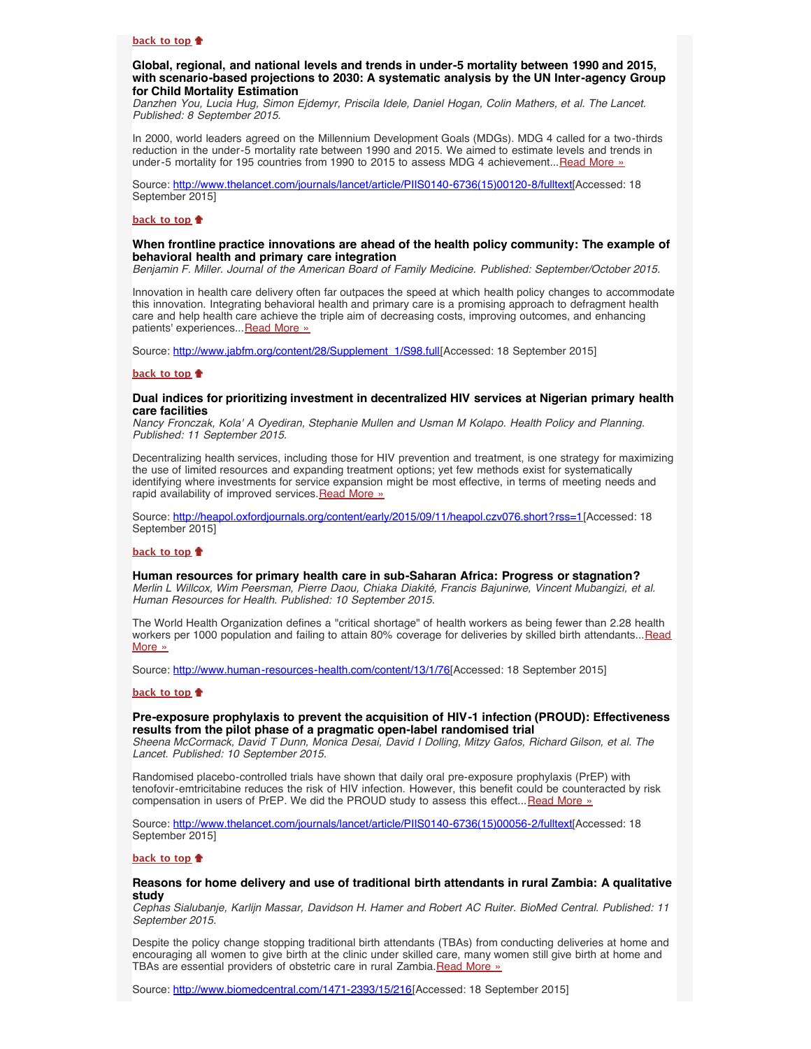#### **[back to top](#page-0-3)**

## <span id="page-1-0"></span>**Global, regional, and national levels and trends in under-5 mortality between 1990 and 2015, with scenario-based projections to 2030: A systematic analysis by the UN Inter-agency Group for Child Mortality Estimation**

*Danzhen You, Lucia Hug, Simon Ejdemyr, Priscila Idele, Daniel Hogan, Colin Mathers, et al. The Lancet. Published: 8 September 2015.*

In 2000, world leaders agreed on the Millennium Development Goals (MDGs). MDG 4 called for a two-thirds reduction in the under-5 mortality rate between 1990 and 2015. We aimed to estimate levels and trends in under-5 mortality for 195 countries from 1990 to 2015 to assess MDG 4 achievement... [Read More »](http://www.thelancet.com/journals/lancet/article/PIIS0140-6736(15)00120-8/fulltext)

Source: [http://www.thelancet.com/journals/lancet/article/PIIS0140-6736\(15\)00120-8/fulltext\[](http://www.thelancet.com/journals/lancet/article/PIIS0140-6736(15)00120-8/fulltext)Accessed: 18 September 2015]

#### **[back to top](#page-0-3)**

#### <span id="page-1-1"></span>**When frontline practice innovations are ahead of the health policy community: The example of behavioral health and primary care integration**

*Benjamin F. Miller. Journal of the American Board of Family Medicine. Published: September/October 2015.*

Innovation in health care delivery often far outpaces the speed at which health policy changes to accommodate this innovation. Integrating behavioral health and primary care is a promising approach to defragment health care and help health care achieve the triple aim of decreasing costs, improving outcomes, and enhancing patients' experiences... [Read More »](http://www.jabfm.org/content/28/Supplement_1/S98.full)

Source: [http://www.jabfm.org/content/28/Supplement\\_1/S98.full\[](http://www.jabfm.org/content/28/Supplement_1/S98.full)Accessed: 18 September 2015]

### **[back to top](#page-0-3)**

#### <span id="page-1-2"></span>**Dual indices for prioritizing investment in decentralized HIV services at Nigerian primary health care facilities**

*Nancy Fronczak, Kola' A Oyediran, Stephanie Mullen and Usman M Kolapo. Health Policy and Planning. Published: 11 September 2015.*

Decentralizing health services, including those for HIV prevention and treatment, is one strategy for maximizing the use of limited resources and expanding treatment options; yet few methods exist for systematically identifying where investments for service expansion might be most effective, in terms of meeting needs and rapid availability of improved services. [Read More »](http://heapol.oxfordjournals.org/content/early/2015/09/11/heapol.czv076.short?rss=1)

Source: [http://heapol.oxfordjournals.org/content/early/2015/09/11/heapol.czv076.short?rss=1\[](http://heapol.oxfordjournals.org/content/early/2015/09/11/heapol.czv076.short?rss=1)Accessed: 18 September 2015]

#### **[back to top](#page-0-3)**

<span id="page-1-3"></span>**Human resources for primary health care in sub-Saharan Africa: Progress or stagnation?** *Merlin L Willcox, Wim Peersman, Pierre Daou, Chiaka Diakité, Francis Bajunirwe, Vincent Mubangizi, et al. Human Resources for Health. Published: 10 September 2015.*

The World Health Organization defines a "critical shortage" of health workers as being fewer than 2.28 health workers per 1000 population and failing to attain 80% coverage for deliveries by skilled birth attendants... [Read](http://www.human-resources-health.com/content/13/1/76) [More »](http://www.human-resources-health.com/content/13/1/76)

Source: <http://www.human-resources-health.com/content/13/1/76>[Accessed: 18 September 2015]

## **[back to top](#page-0-3)**

## <span id="page-1-4"></span>**Pre-exposure prophylaxis to prevent the acquisition of HIV-1 infection (PROUD): Effectiveness results from the pilot phase of a pragmatic open-label randomised trial**

*Sheena McCormack, David T Dunn, Monica Desai, David I Dolling, Mitzy Gafos, Richard Gilson, et al. The Lancet. Published: 10 September 2015.*

Randomised placebo-controlled trials have shown that daily oral pre-exposure prophylaxis (PrEP) with tenofovir-emtricitabine reduces the risk of HIV infection. However, this benefit could be counteracted by risk compensation in users of PrEP. We did the PROUD study to assess this effect... [Read More »](http://www.thelancet.com/journals/lancet/article/PIIS0140-6736(15)00056-2/fulltext)

Source: [http://www.thelancet.com/journals/lancet/article/PIIS0140-6736\(15\)00056-2/fulltext\[](http://www.thelancet.com/journals/lancet/article/PIIS0140-6736(15)00056-2/fulltext)Accessed: 18 September 2015]

#### **[back to top](#page-0-3)**

#### <span id="page-1-5"></span>**Reasons for home delivery and use of traditional birth attendants in rural Zambia: A qualitative study**

*Cephas Sialubanje, Karlijn Massar, Davidson H. Hamer and Robert AC Ruiter. BioMed Central. Published: 11 September 2015.*

Despite the policy change stopping traditional birth attendants (TBAs) from conducting deliveries at home and encouraging all women to give birth at the clinic under skilled care, many women still give birth at home and TBAs are essential providers of obstetric care in rural Zambia. [Read More »](http://www.biomedcentral.com/1471-2393/15/216)

Source: [http://www.biomedcentral.com/1471-2393/15/216\[](http://www.biomedcentral.com/1471-2393/15/216)Accessed: 18 September 2015]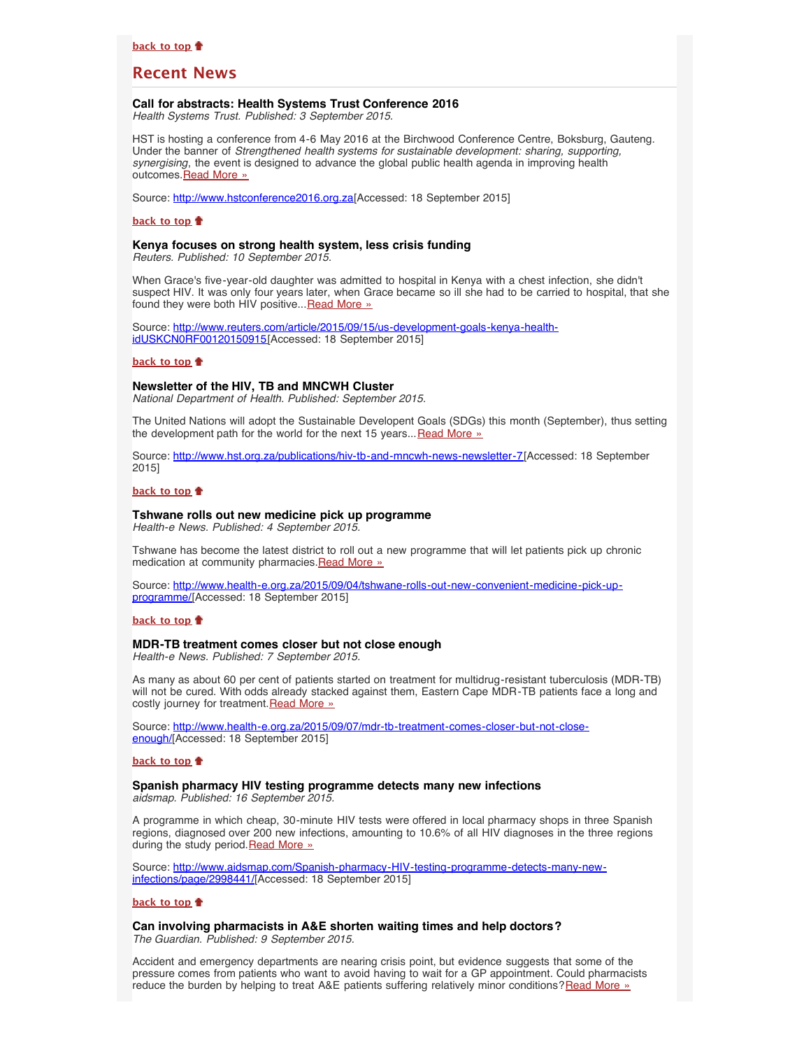## <span id="page-2-0"></span>**Recent News**

#### <span id="page-2-1"></span>**Call for abstracts: Health Systems Trust Conference 2016**

*Health Systems Trust. Published: 3 September 2015.*

HST is hosting a conference from 4-6 May 2016 at the Birchwood Conference Centre, Boksburg, Gauteng. Under the banner of *Strengthened health systems for sustainable development: sharing, supporting, synergising*, the event is designed to advance the global public health agenda in improving health outcomes. Read More »

Source: [http://www.hstconference2016.org.za\[](http://www.hstconference2016.org.za/)Accessed: 18 September 2015]

#### **[back to top](#page-0-3)**

## <span id="page-2-2"></span>**Kenya focuses on strong health system, less crisis funding**

*Reuters. Published: 10 September 2015.*

When Grace's five-year-old daughter was admitted to hospital in Kenya with a chest infection, she didn't suspect HIV. It was only four years later, when Grace became so ill she had to be carried to hospital, that she found they were both HIV positive... [Read More »](http://www.reuters.com/article/2015/09/15/us-development-goals-kenya-health-idUSKCN0RF00120150915)

Source: [http://www.reuters.com/article/2015/09/15/us-development-goals-kenya-health](http://www.reuters.com/article/2015/09/15/us-development-goals-kenya-health-idUSKCN0RF00120150915)[idUSKCN0RF00120150915](http://www.reuters.com/article/2015/09/15/us-development-goals-kenya-health-idUSKCN0RF00120150915)[Accessed: 18 September 2015]

#### **[back to top](#page-0-3)**

## <span id="page-2-3"></span>**Newsletter of the HIV, TB and MNCWH Cluster**

*National Department of Health. Published: September 2015.*

The United Nations will adopt the Sustainable Developent Goals (SDGs) this month (September), thus setting the development path for the world for the next 15 years... [Read More »](http://www.hst.org.za/publications/hiv-tb-and-mncwh-news-newsletter-7)

Source: [http://www.hst.org.za/publications/hiv-tb-and-mncwh-news-newsletter-7\[](http://www.hst.org.za/publications/hiv-tb-and-mncwh-news-newsletter-7)Accessed: 18 September 2015]

#### **[back to top](#page-0-3)**

#### <span id="page-2-4"></span>**Tshwane rolls out new medicine pick up programme**

*Health-e News. Published: 4 September 2015.*

Tshwane has become the latest district to roll out a new programme that will let patients pick up chronic medication at community pharmacies. Read More »

Source: [http://www.health-e.org.za/2015/09/04/tshwane-rolls-out-new-convenient-medicine-pick-up](http://www.health-e.org.za/2015/09/04/tshwane-rolls-out-new-convenient-medicine-pick-up-programme/)[programme/](http://www.health-e.org.za/2015/09/04/tshwane-rolls-out-new-convenient-medicine-pick-up-programme/)[Accessed: 18 September 2015]

#### **[back to top](#page-0-3)**

#### <span id="page-2-5"></span>**MDR-TB treatment comes closer but not close enough**

*Health-e News. Published: 7 September 2015.*

As many as about 60 per cent of patients started on treatment for multidrug-resistant tuberculosis (MDR-TB) will not be cured. With odds already stacked against them, Eastern Cape MDR-TB patients face a long and costly journey for treatment.[Read More »](http://www.health-e.org.za/2015/09/07/mdr-tb-treatment-comes-closer-but-not-close-enough/)

Source: [http://www.health-e.org.za/2015/09/07/mdr-tb-treatment-comes-closer-but-not-close](http://www.health-e.org.za/2015/09/07/mdr-tb-treatment-comes-closer-but-not-close-enough/)[enough/](http://www.health-e.org.za/2015/09/07/mdr-tb-treatment-comes-closer-but-not-close-enough/)[Accessed: 18 September 2015]

#### **[back to top](#page-0-3)**

#### <span id="page-2-6"></span>**Spanish pharmacy HIV testing programme detects many new infections** *aidsmap. Published: 16 September 2015.*

A programme in which cheap, 30-minute HIV tests were offered in local pharmacy shops in three Spanish regions, diagnosed over 200 new infections, amounting to 10.6% of all HIV diagnoses in the three regions during the study period. [Read More »](http://www.aidsmap.com/Spanish-pharmacy-HIV-testing-programme-detects-many-new-infections/page/2998441/)

Source: [http://www.aidsmap.com/Spanish-pharmacy-HIV-testing-programme-detects-many-new](http://www.aidsmap.com/Spanish-pharmacy-HIV-testing-programme-detects-many-new-infections/page/2998441/)[infections/page/2998441/](http://www.aidsmap.com/Spanish-pharmacy-HIV-testing-programme-detects-many-new-infections/page/2998441/)[Accessed: 18 September 2015]

#### **[back to top](#page-0-3)**

<span id="page-2-7"></span>**Can involving pharmacists in A&E shorten waiting times and help doctors?** *The Guardian. Published: 9 September 2015.*

Accident and emergency departments are nearing crisis point, but evidence suggests that some of the pressure comes from patients who want to avoid having to wait for a GP appointment. Could pharmacists reduce the burden by helping to treat A&E patients suffering relatively minor conditions?[Read More »](http://www.theguardian.com/healthcare-network/2015/sep/09/pharmacists-shorten-waiting-times-help-doctors)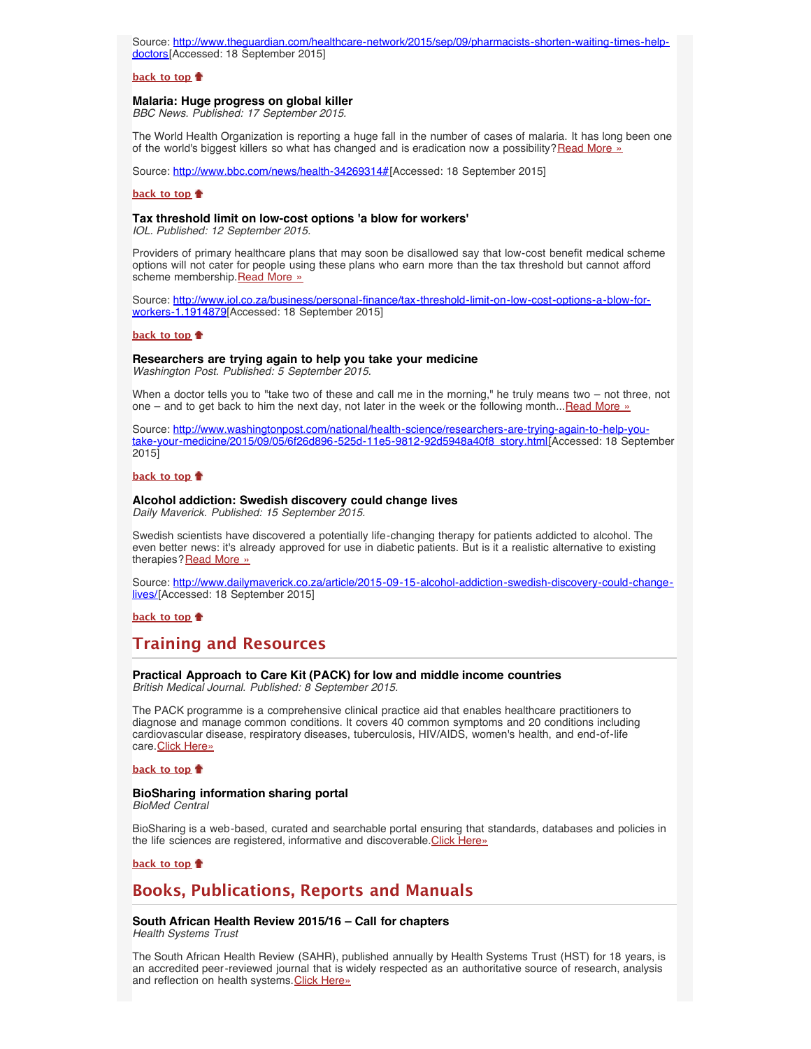Source: [http://www.theguardian.com/healthcare-network/2015/sep/09/pharmacists-shorten-waiting-times-help](http://www.theguardian.com/healthcare-network/2015/sep/09/pharmacists-shorten-waiting-times-help-doctors)[doctors\[](http://www.theguardian.com/healthcare-network/2015/sep/09/pharmacists-shorten-waiting-times-help-doctors)Accessed: 18 September 2015]

#### **[back to top](#page-0-3)**

## <span id="page-3-0"></span>**Malaria: Huge progress on global killer**

*BBC News. Published: 17 September 2015.*

The World Health Organization is reporting a huge fall in the number of cases of malaria. It has long been one of the world's biggest killers so what has changed and is eradication now a possibility?[Read More »](http://www.bbc.com/news/health-34269314#)

Source: [http://www.bbc.com/news/health-34269314#\[](http://www.bbc.com/news/health-34269314#)Accessed: 18 September 2015]

## **[back to top](#page-0-3)**

## <span id="page-3-1"></span>**Tax threshold limit on low-cost options 'a blow for workers'**

*IOL. Published: 12 September 2015.*

Providers of primary healthcare plans that may soon be disallowed say that low-cost benefit medical scheme options will not cater for people using these plans who earn more than the tax threshold but cannot afford scheme membership. [Read More »](http://www.iol.co.za/business/personal-finance/tax-threshold-limit-on-low-cost-options-a-blow-for-workers-1.1914879)

Source: [http://www.iol.co.za/business/personal-finance/tax-threshold-limit-on-low-cost-options-a-blow-for](http://www.iol.co.za/business/personal-finance/tax-threshold-limit-on-low-cost-options-a-blow-for-workers-1.1914879)[workers-1.1914879](http://www.iol.co.za/business/personal-finance/tax-threshold-limit-on-low-cost-options-a-blow-for-workers-1.1914879)[Accessed: 18 September 2015]

#### **[back to top](#page-0-3)**

#### <span id="page-3-2"></span>**Researchers are trying again to help you take your medicine**

*Washington Post. Published: 5 September 2015.*

When a doctor tells you to "take two of these and call me in the morning," he truly means two – not three, not one – and to get back to him the next day, not later in the week or the following month...[Read More »](http://www.washingtonpost.com/national/health-science/researchers-are-trying-again-to-help-you- take-your-medicine/2015/09/05/6f26d896-525d-11e5-9812-92d5948a40f8_story.html)

Source: [http://www.washingtonpost.com/national/health-science/researchers-are-trying-again-to-help-you](http://www.washingtonpost.com/national/health-science/researchers-are-trying-again-to-help-you- take-your-medicine/2015/09/05/6f26d896-525d-11e5-9812-92d5948a40f8_story.html)[take-your-medicine/2015/09/05/6f26d896-525d-11e5-9812-92d5948a40f8\\_story.html](http://www.washingtonpost.com/national/health-science/researchers-are-trying-again-to-help-you- take-your-medicine/2015/09/05/6f26d896-525d-11e5-9812-92d5948a40f8_story.html)[Accessed: 18 September 2015]

#### **[back to top](#page-0-3)**

## <span id="page-3-3"></span>**Alcohol addiction: Swedish discovery could change lives**

*Daily Maverick. Published: 15 September 2015.*

Swedish scientists have discovered a potentially life-changing therapy for patients addicted to alcohol. The even better news: it's already approved for use in diabetic patients. But is it a realistic alternative to existing therapies? [Read More »](http://www.dailymaverick.co.za/article/2015-09-15-alcohol-addiction-swedish-discovery-could-change-lives/?utm_source=Daily+Maverick+Mailer&utm_medium=email&utm_campaign=First+Thing+with+John+stupart%3A+Tuesday%2C+2+September+2014&utm_term=http%3A%2F%2Fwww.dailymaverick.co.za%2Farticle%2F2015-09-15-alcohol-addiction-swedish-discovery-could-change-lives%2F#.VffYUdKqqko)

Source: [http://www.dailymaverick.co.za/article/2015-09-15-alcohol-addiction-swedish-discovery-could-change](http://www.dailymaverick.co.za/article/2015-09-15-alcohol-addiction-swedish-discovery-could-change-lives/?utm_source=Daily+Maverick+Mailer&utm_medium=email&utm_campaign=First+Thing+with+John+stupart%3A+Tuesday%2C+2+September+2014&utm_term=http%3A%2F%2Fwww.dailymaverick.co.za%2Farticle%2F2015-09-15-alcohol-addiction-swedish-discovery-could-change-lives%2F#.VffYUdKqqko)[lives/\[](http://www.dailymaverick.co.za/article/2015-09-15-alcohol-addiction-swedish-discovery-could-change-lives/?utm_source=Daily+Maverick+Mailer&utm_medium=email&utm_campaign=First+Thing+with+John+stupart%3A+Tuesday%2C+2+September+2014&utm_term=http%3A%2F%2Fwww.dailymaverick.co.za%2Farticle%2F2015-09-15-alcohol-addiction-swedish-discovery-could-change-lives%2F#.VffYUdKqqko)Accessed: 18 September 2015]

#### **[back to top](#page-0-3)**

## <span id="page-3-4"></span>**Training and Resources**

## <span id="page-3-5"></span>**Practical Approach to Care Kit (PACK) for low and middle income countries**

*British Medical Journal. Published: 8 September 2015.*

The PACK programme is a comprehensive clinical practice aid that enables healthcare practitioners to diagnose and manage common conditions. It covers 40 common symptoms and 20 conditions including cardiovascular disease, respiratory diseases, tuberculosis, HIV/AIDS, women's health, and end-of-life care. [Click Here»](http://www.bmj.com/company/partner-with-us/providing-local-health-guidelines-to-improve-patient-care-in-south-africa/)

#### **[back to top](#page-0-3)**

## <span id="page-3-6"></span>**BioSharing information sharing portal**

*BioMed Central*

BioSharing is a web-based, curated and searchable portal ensuring that standards, databases and policies in the life sciences are registered, informative and discoverable.[Click Here»](https://www.biosharing.org/)

#### **[back to top](#page-0-3)**

## <span id="page-3-7"></span>**Books, Publications, Reports and Manuals**

#### <span id="page-3-8"></span>**South African Health Review 2015/16 – Call for chapters** *Health Systems Trust*

The South African Health Review (SAHR), published annually by Health Systems Trust (HST) for 18 years, is an accredited peer-reviewed journal that is widely respected as an authoritative source of research, analysis and reflection on health systems. [Click Here»](http://www.hst.org.za/news/south-african-health-review-201516-call-chapters)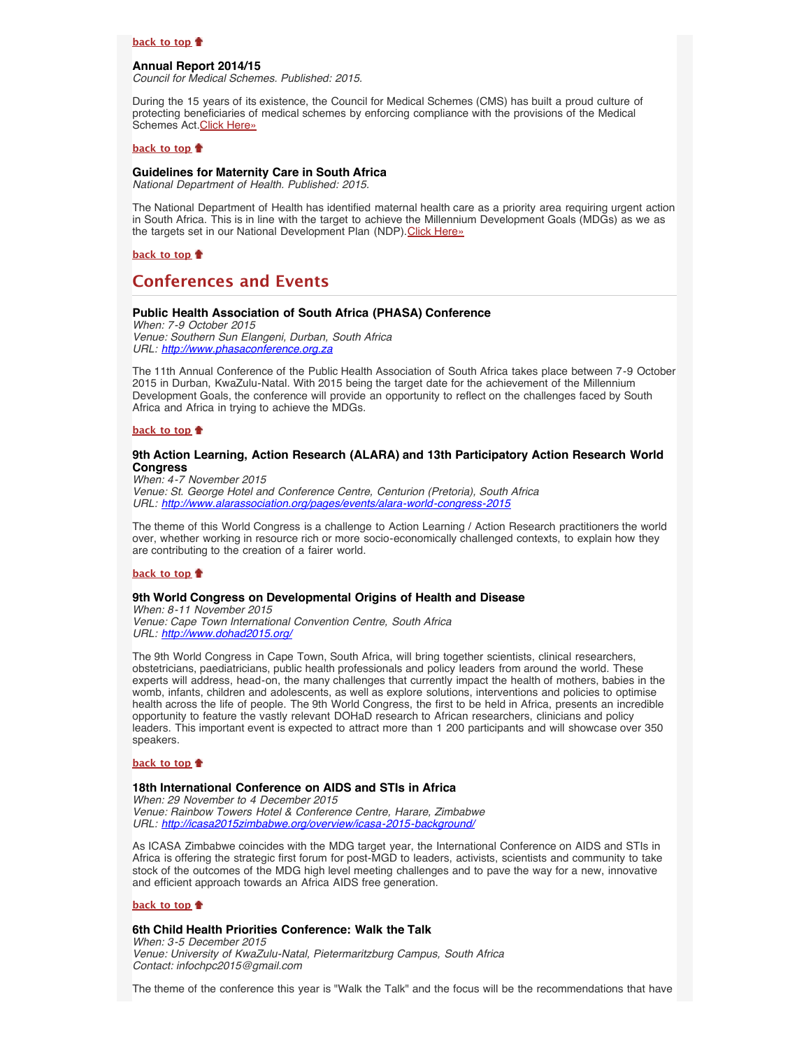#### **[back to top](#page-0-3)**

## <span id="page-4-0"></span>**Annual Report 2014/15**

*Council for Medical Schemes. Published: 2015.*

During the 15 years of its existence, the Council for Medical Schemes (CMS) has built a proud culture of protecting beneficiaries of medical schemes by enforcing compliance with the provisions of the Medical Schemes Act. [Click Here»](http://www.hst.org.za/publications/annual-report-201415)

#### **[back to top](#page-0-3)**

## <span id="page-4-1"></span>**Guidelines for Maternity Care in South Africa**

*National Department of Health. Published: 2015.*

The National Department of Health has identified maternal health care as a priority area requiring urgent action in South Africa. This is in line with the target to achieve the Millennium Development Goals (MDGs) as we as the targets set in our National Development Plan (NDP). [Click Here»](http://www.hst.org.za/publications/guidelines-maternity-care-south-africa)

**[back to top](#page-0-3)**

## <span id="page-4-2"></span>**Conferences and Events**

## <span id="page-4-3"></span>**Public Health Association of South Africa (PHASA) Conference**

*When: 7-9 October 2015 Venue: Southern Sun Elangeni, Durban, South Africa URL: [http://www.phasaconference.org.za](http://www.phasaconference.org.za/)*

The 11th Annual Conference of the Public Health Association of South Africa takes place between 7-9 October 2015 in Durban, KwaZulu-Natal. With 2015 being the target date for the achievement of the Millennium Development Goals, the conference will provide an opportunity to reflect on the challenges faced by South Africa and Africa in trying to achieve the MDGs.

## **[back to top](#page-0-3)**

## <span id="page-4-4"></span>**9th Action Learning, Action Research (ALARA) and 13th Participatory Action Research World Congress**

*When: 4-7 November 2015 Venue: St. George Hotel and Conference Centre, Centurion (Pretoria), South Africa URL: <http://www.alarassociation.org/pages/events/alara-world-congress-2015>*

The theme of this World Congress is a challenge to Action Learning / Action Research practitioners the world over, whether working in resource rich or more socio-economically challenged contexts, to explain how they are contributing to the creation of a fairer world.

## **[back to top](#page-0-3)**

## <span id="page-4-5"></span>**9th World Congress on Developmental Origins of Health and Disease**

*When: 8-11 November 2015 Venue: Cape Town International Convention Centre, South Africa URL: <http://www.dohad2015.org/>*

The 9th World Congress in Cape Town, South Africa, will bring together scientists, clinical researchers, obstetricians, paediatricians, public health professionals and policy leaders from around the world. These experts will address, head-on, the many challenges that currently impact the health of mothers, babies in the womb, infants, children and adolescents, as well as explore solutions, interventions and policies to optimise health across the life of people. The 9th World Congress, the first to be held in Africa, presents an incredible opportunity to feature the vastly relevant DOHaD research to African researchers, clinicians and policy leaders. This important event is expected to attract more than 1 200 participants and will showcase over 350 speakers.

## **[back to top](#page-0-3)**

### <span id="page-4-6"></span>**18th International Conference on AIDS and STIs in Africa**

*When: 29 November to 4 December 2015 Venue: Rainbow Towers Hotel & Conference Centre, Harare, Zimbabwe URL: <http://icasa2015zimbabwe.org/overview/icasa-2015-background/>*

As ICASA Zimbabwe coincides with the MDG target year, the International Conference on AIDS and STIs in Africa is offering the strategic first forum for post-MGD to leaders, activists, scientists and community to take stock of the outcomes of the MDG high level meeting challenges and to pave the way for a new, innovative and efficient approach towards an Africa AIDS free generation.

#### **[back to top](#page-0-3)**

#### <span id="page-4-7"></span>**6th Child Health Priorities Conference: Walk the Talk**

*When: 3-5 December 2015 Venue: University of KwaZulu-Natal, Pietermaritzburg Campus, South Africa Contact: infochpc2015@gmail.com*

The theme of the conference this year is "Walk the Talk" and the focus will be the recommendations that have